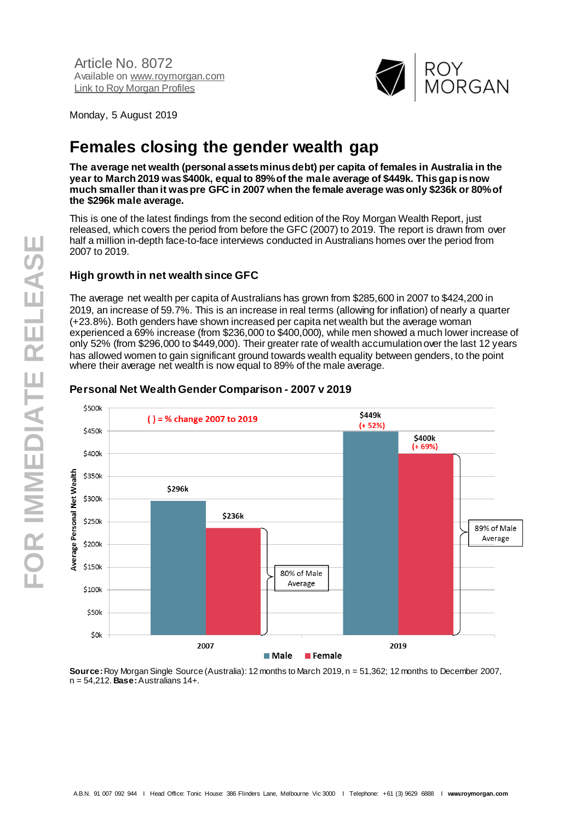

Monday, 5 August 2019

# **Females closing the gender wealth gap**

**The average net wealth (personal assets minus debt) per capita of females in Australia in the year to March 2019 was \$400k, equal to 89% of the male average of \$449k. This gap is now much smaller than it was pre GFC in 2007 when the female average was only \$236k or 80% of the \$296k male average.**

This is one of the latest findings from the second edition of the Roy Morgan Wealth Report, just released, which covers the period from before the GFC (2007) to 2019. The report is drawn from over half a million in-depth face-to-face interviews conducted in Australians homes over the period from 2007 to 2019.

# **High growth in net wealth since GFC**

The average net wealth per capita of Australians has grown from \$285,600 in 2007 to \$424,200 in 2019, an increase of 59.7%. This is an increase in real terms (allowing for inflation) of nearly a quarter (+23.8%). Both genders have shown increased per capita net wealth but the average woman experienced a 69% increase (from \$236,000 to \$400,000), while men showed a much lower increase of only 52% (from \$296,000 to \$449,000). Their greater rate of wealth accumulation over the last 12 years has allowed women to gain significant ground towards wealth equality between genders, to the point where their average net wealth is now equal to 89% of the male average.



## **Personal Net Wealth Gender Comparison - 2007 v 2019**

**Source:** Roy Morgan Single Source (Australia): 12 months to March 2019, n = 51,362; 12 months to December 2007, n = 54,212. **Base:** Australians 14+.